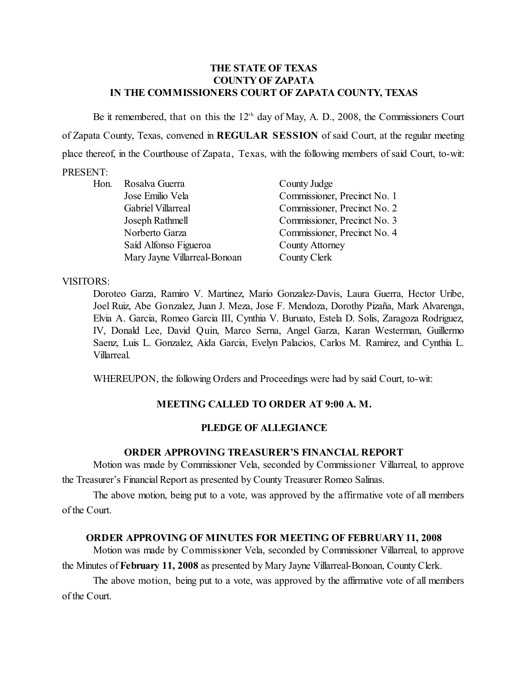### **THE STATE OF TEXAS COUNTY OF ZAPATA IN THE COMMISSIONERS COURT OF ZAPATA COUNTY, TEXAS**

Be it remembered, that on this the  $12<sup>th</sup>$  day of May, A. D., 2008, the Commissioners Court of Zapata County, Texas, convened in **REGULAR SESSION** of said Court, at the regular meeting place thereof, in the Courthouse of Zapata, Texas, with the following members of said Court, to-wit: PRESENT:

| Hon. | Rosalva Guerra               | County Judge                 |
|------|------------------------------|------------------------------|
|      | Jose Emilio Vela             | Commissioner, Precinct No. 1 |
|      | Gabriel Villarreal           | Commissioner, Precinct No. 2 |
|      | Joseph Rathmell              | Commissioner, Precinct No. 3 |
|      | Norberto Garza               | Commissioner, Precinct No. 4 |
|      | Saíd Alfonso Figueroa        | <b>County Attorney</b>       |
|      | Mary Jayne Villarreal-Bonoan | County Clerk                 |
|      |                              |                              |

#### VISITORS:

Doroteo Garza, Ramiro V. Martinez, Mario Gonzalez-Davis, Laura Guerra, Hector Uribe, Joel Ruiz, Abe Gonzalez, Juan J. Meza, Jose F. Mendoza, Dorothy Pizaña, Mark Alvarenga, Elvia A. Garcia, Romeo Garcia III, Cynthia V. Buruato, Estela D. Solis, Zaragoza Rodriguez, IV, Donald Lee, David Quin, Marco Serna, Angel Garza, Karan Westerman, Guillermo Saenz, Luis L. Gonzalez, Aida Garcia, Evelyn Palacios, Carlos M. Ramirez, and Cynthia L. Villarreal.

WHEREUPON, the following Orders and Proceedings were had by said Court, to-wit:

## **MEETING CALLED TO ORDER AT 9:00 A. M.**

### **PLEDGE OF ALLEGIANCE**

#### **ORDER APPROVING TREASURER'S FINANCIAL REPORT**

Motion was made by Commissioner Vela, seconded by Commissioner Villarreal, to approve the Treasurer's Financial Report as presented by County Treasurer Romeo Salinas.

The above motion, being put to a vote, was approved by the affirmative vote of all members of the Court.

#### **ORDER APPROVING OF MINUTES FOR MEETING OF FEBRUARY 11, 2008**

Motion was made by Commissioner Vela, seconded by Commissioner Villarreal, to approve the Minutes of **February 11, 2008** as presented by Mary Jayne Villarreal-Bonoan, County Clerk.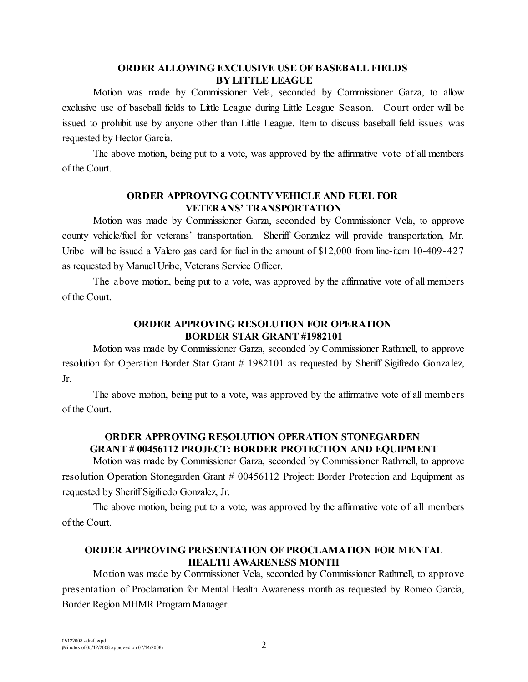### **ORDER ALLOWING EXCLUSIVE USE OF BASEBALL FIELDS BY LITTLE LEAGUE**

Motion was made by Commissioner Vela, seconded by Commissioner Garza, to allow exclusive use of baseball fields to Little League during Little League Season. Court order will be issued to prohibit use by anyone other than Little League. Item to discuss baseball field issues was requested by Hector Garcia.

The above motion, being put to a vote, was approved by the affirmative vote of all members of the Court.

## **ORDER APPROVING COUNTY VEHICLE AND FUEL FOR VETERANS' TRANSPORTATION**

Motion was made by Commissioner Garza, seconded by Commissioner Vela, to approve county vehicle/fuel for veterans' transportation. Sheriff Gonzalez will provide transportation, Mr. Uribe will be issued a Valero gas card for fuel in the amount of \$12,000 from line-item 10-409-427 as requested by Manuel Uribe, Veterans Service Officer.

The above motion, being put to a vote, was approved by the affirmative vote of all members of the Court.

# **ORDER APPROVING RESOLUTION FOR OPERATION BORDER STAR GRANT #1982101**

Motion was made by Commissioner Garza, seconded by Commissioner Rathmell, to approve resolution for Operation Border Star Grant # 1982101 as requested by Sheriff Sigifredo Gonzalez, Jr.

The above motion, being put to a vote, was approved by the affirmative vote of all members of the Court.

# **ORDER APPROVING RESOLUTION OPERATION STONEGARDEN GRANT # 00456112 PROJECT: BORDER PROTECTION AND EQUIPMENT**

Motion was made by Commissioner Garza, seconded by Commissioner Rathmell, to approve resolution Operation Stonegarden Grant # 00456112 Project: Border Protection and Equipment as requested by Sheriff Sigifredo Gonzalez, Jr.

The above motion, being put to a vote, was approved by the affirmative vote of all members of the Court.

# **ORDER APPROVING PRESENTATION OF PROCLAMATION FOR MENTAL HEALTH AWARENESS MONTH**

Motion was made by Commissioner Vela, seconded by Commissioner Rathmell, to approve presentation of Proclamation for Mental Health Awareness month as requested by Romeo Garcia, Border Region MHMR Program Manager.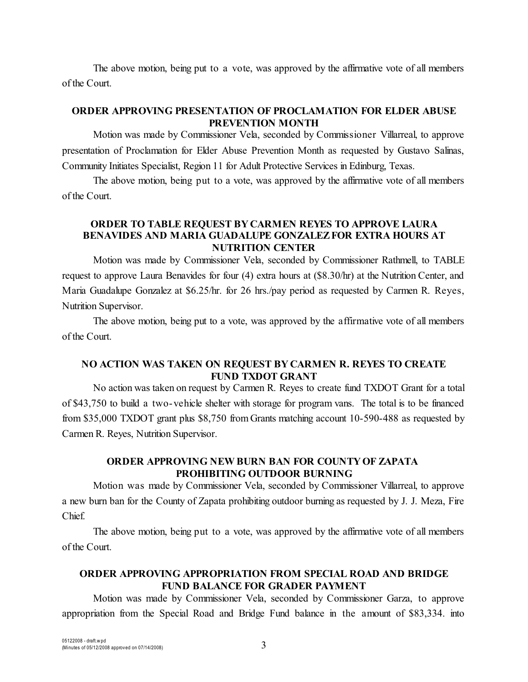The above motion, being put to a vote, was approved by the affirmative vote of all members of the Court.

## **ORDER APPROVING PRESENTATION OF PROCLAMATION FOR ELDER ABUSE PREVENTION MONTH**

Motion was made by Commissioner Vela, seconded by Commissioner Villarreal, to approve presentation of Proclamation for Elder Abuse Prevention Month as requested by Gustavo Salinas, Community Initiates Specialist, Region 11 for Adult Protective Services in Edinburg, Texas.

The above motion, being put to a vote, was approved by the affirmative vote of all members of the Court.

# **ORDER TO TABLE REQUEST BY CARMEN REYES TO APPROVE LAURA BENAVIDES AND MARIA GUADALUPE GONZALEZ FOR EXTRA HOURS AT NUTRITION CENTER**

Motion was made by Commissioner Vela, seconded by Commissioner Rathmell, to TABLE request to approve Laura Benavides for four (4) extra hours at (\$8.30/hr) at the Nutrition Center, and Maria Guadalupe Gonzalez at \$6.25/hr. for 26 hrs./pay period as requested by Carmen R. Reyes, Nutrition Supervisor.

The above motion, being put to a vote, was approved by the affirmative vote of all members of the Court.

# **NO ACTION WAS TAKEN ON REQUEST BY CARMEN R. REYES TO CREATE FUND TXDOT GRANT**

No action was taken on request by Carmen R. Reyes to create fund TXDOT Grant for a total of \$43,750 to build a two-vehicle shelter with storage for program vans. The total is to be financed from \$35,000 TXDOT grant plus \$8,750 from Grants matching account 10-590-488 as requested by Carmen R. Reyes, Nutrition Supervisor.

### **ORDER APPROVING NEW BURN BAN FOR COUNTY OF ZAPATA PROHIBITING OUTDOOR BURNING**

Motion was made by Commissioner Vela, seconded by Commissioner Villarreal, to approve a new burn ban for the County of Zapata prohibiting outdoor burning as requested by J. J. Meza, Fire Chief.

The above motion, being put to a vote, was approved by the affirmative vote of all members of the Court.

# **ORDER APPROVING APPROPRIATION FROM SPECIAL ROAD AND BRIDGE FUND BALANCE FOR GRADER PAYMENT**

Motion was made by Commissioner Vela, seconded by Commissioner Garza, to approve appropriation from the Special Road and Bridge Fund balance in the amount of \$83,334. into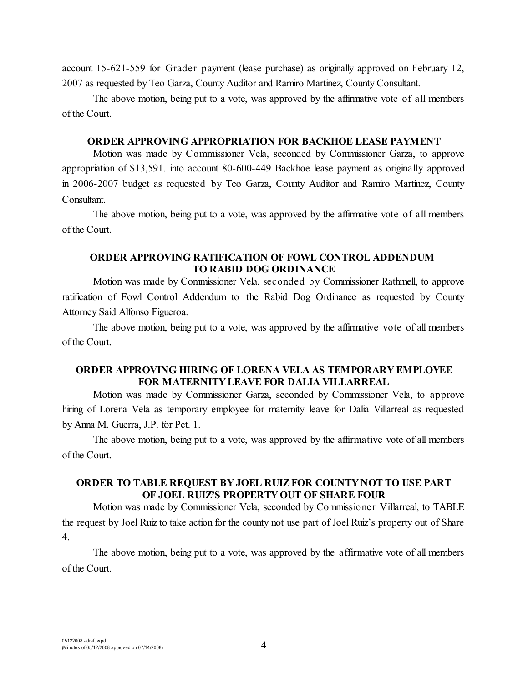account 15-621-559 for Grader payment (lease purchase) as originally approved on February 12, 2007 as requested by Teo Garza, County Auditor and Ramiro Martinez, County Consultant.

The above motion, being put to a vote, was approved by the affirmative vote of all members of the Court.

### **ORDER APPROVING APPROPRIATION FOR BACKHOE LEASE PAYMENT**

Motion was made by Commissioner Vela, seconded by Commissioner Garza, to approve appropriation of \$13,591. into account 80-600-449 Backhoe lease payment as originally approved in 2006-2007 budget as requested by Teo Garza, County Auditor and Ramiro Martinez, County Consultant.

The above motion, being put to a vote, was approved by the affirmative vote of all members of the Court.

#### **ORDER APPROVING RATIFICATION OF FOWL CONTROL ADDENDUM TO RABID DOG ORDINANCE**

Motion was made by Commissioner Vela, seconded by Commissioner Rathmell, to approve ratification of Fowl Control Addendum to the Rabid Dog Ordinance as requested by County Attorney Said Alfonso Figueroa.

The above motion, being put to a vote, was approved by the affirmative vote of all members of the Court.

## **ORDER APPROVING HIRING OF LORENA VELA AS TEMPORARY EMPLOYEE FOR MATERNITY LEAVE FOR DALIA VILLARREAL**

Motion was made by Commissioner Garza, seconded by Commissioner Vela, to approve hiring of Lorena Vela as temporary employee for maternity leave for Dalia Villarreal as requested by Anna M. Guerra, J.P. for Pct. 1.

The above motion, being put to a vote, was approved by the affirmative vote of all members of the Court.

### **ORDER TO TABLE REQUEST BY JOEL RUIZ FOR COUNTY NOT TO USE PART OF JOEL RUIZ'S PROPERTY OUT OF SHARE FOUR**

Motion was made by Commissioner Vela, seconded by Commissioner Villarreal, to TABLE the request by Joel Ruiz to take action for the county not use part of Joel Ruiz's property out of Share 4.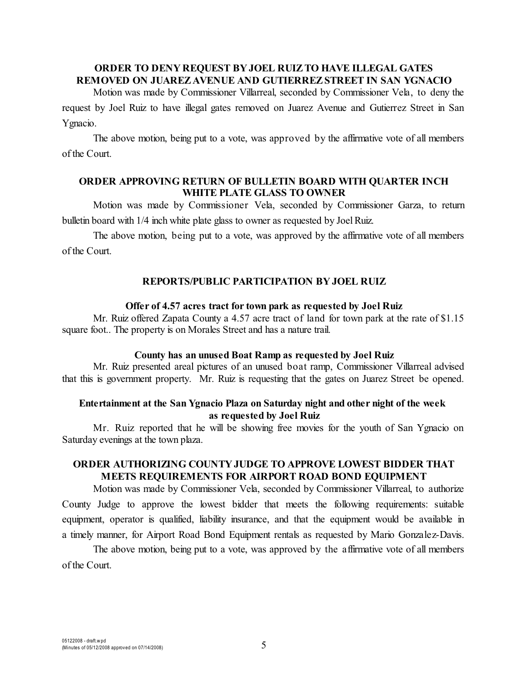#### **ORDER TO DENY REQUEST BY JOEL RUIZ TO HAVE ILLEGAL GATES REMOVED ON JUAREZ AVENUE AND GUTIERREZ STREET IN SAN YGNACIO**

Motion was made by Commissioner Villarreal, seconded by Commissioner Vela, to deny the request by Joel Ruiz to have illegal gates removed on Juarez Avenue and Gutierrez Street in San Ygnacio.

The above motion, being put to a vote, was approved by the affirmative vote of all members of the Court.

### **ORDER APPROVING RETURN OF BULLETIN BOARD WITH QUARTER INCH WHITE PLATE GLASS TO OWNER**

Motion was made by Commissioner Vela, seconded by Commissioner Garza, to return bulletin board with 1/4 inch white plate glass to owner as requested by Joel Ruiz.

The above motion, being put to a vote, was approved by the affirmative vote of all members of the Court.

#### **REPORTS/PUBLIC PARTICIPATION BY JOEL RUIZ**

#### **Offer of 4.57 acres tract for town park as requested by Joel Ruiz**

Mr. Ruiz offered Zapata County a 4.57 acre tract of land for town park at the rate of \$1.15 square foot.. The property is on Morales Street and has a nature trail.

#### **County has an unused Boat Ramp as requested by Joel Ruiz**

Mr. Ruiz presented areal pictures of an unused boat ramp, Commissioner Villarreal advised that this is government property. Mr. Ruiz is requesting that the gates on Juarez Street be opened.

### **Entertainment at the San Ygnacio Plaza on Saturday night and other night of the week as requested by Joel Ruiz**

Mr. Ruiz reported that he will be showing free movies for the youth of San Ygnacio on Saturday evenings at the town plaza.

# **ORDER AUTHORIZING COUNTY JUDGE TO APPROVE LOWEST BIDDER THAT MEETS REQUIREMENTS FOR AIRPORT ROAD BOND EQUIPMENT**

Motion was made by Commissioner Vela, seconded by Commissioner Villarreal, to authorize County Judge to approve the lowest bidder that meets the following requirements: suitable equipment, operator is qualified, liability insurance, and that the equipment would be available in a timely manner, for Airport Road Bond Equipment rentals as requested by Mario Gonzalez-Davis.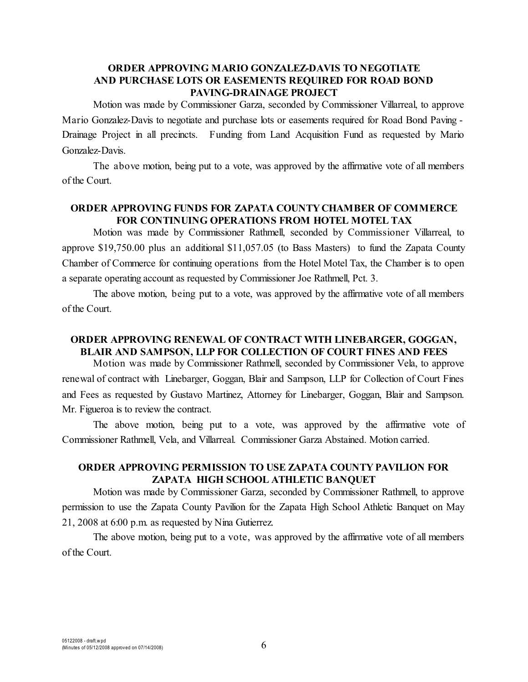## **ORDER APPROVING MARIO GONZALEZ-DAVIS TO NEGOTIATE AND PURCHASE LOTS OR EASEMENTS REQUIRED FOR ROAD BOND PAVING-DRAINAGE PROJECT**

Motion was made by Commissioner Garza, seconded by Commissioner Villarreal, to approve Mario Gonzalez-Davis to negotiate and purchase lots or easements required for Road Bond Paving - Drainage Project in all precincts. Funding from Land Acquisition Fund as requested by Mario Gonzalez-Davis.

The above motion, being put to a vote, was approved by the affirmative vote of all members of the Court.

## **ORDER APPROVING FUNDS FOR ZAPATA COUNTY CHAMBER OF COMMERCE FOR CONTINUING OPERATIONS FROM HOTEL MOTEL TAX**

Motion was made by Commissioner Rathmell, seconded by Commissioner Villarreal, to approve \$19,750.00 plus an additional \$11,057.05 (to Bass Masters) to fund the Zapata County Chamber of Commerce for continuing operations from the Hotel Motel Tax, the Chamber is to open a separate operating account as requested by Commissioner Joe Rathmell, Pct. 3.

The above motion, being put to a vote, was approved by the affirmative vote of all members of the Court.

# **ORDER APPROVING RENEWAL OF CONTRACT WITH LINEBARGER, GOGGAN, BLAIR AND SAMPSON, LLP FOR COLLECTION OF COURT FINES AND FEES**

Motion was made by Commissioner Rathmell, seconded by Commissioner Vela, to approve renewal of contract with Linebarger, Goggan, Blair and Sampson, LLP for Collection of Court Fines and Fees as requested by Gustavo Martinez, Attorney for Linebarger, Goggan, Blair and Sampson. Mr. Figueroa is to review the contract.

The above motion, being put to a vote, was approved by the affirmative vote of Commissioner Rathmell, Vela, and Villarreal. Commissioner Garza Abstained. Motion carried.

# **ORDER APPROVING PERMISSION TO USE ZAPATA COUNTY PAVILION FOR ZAPATA HIGH SCHOOL ATHLETIC BANQUET**

Motion was made by Commissioner Garza, seconded by Commissioner Rathmell, to approve permission to use the Zapata County Pavilion for the Zapata High School Athletic Banquet on May 21, 2008 at 6:00 p.m. as requested by Nina Gutierrez.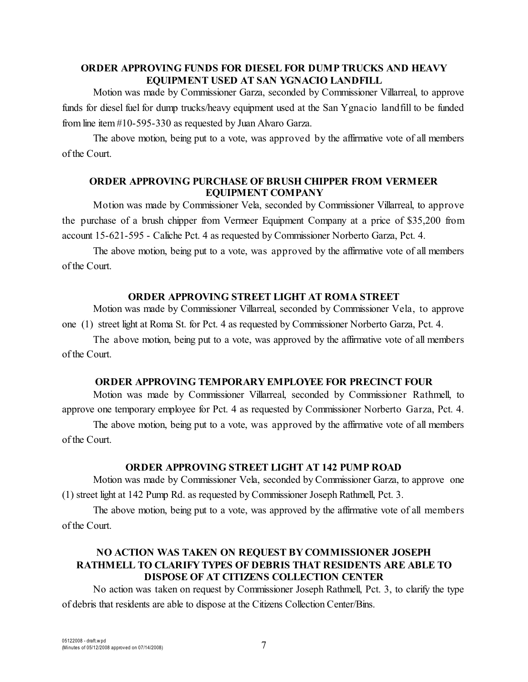## **ORDER APPROVING FUNDS FOR DIESEL FOR DUMP TRUCKS AND HEAVY EQUIPMENT USED AT SAN YGNACIO LANDFILL**

Motion was made by Commissioner Garza, seconded by Commissioner Villarreal, to approve funds for diesel fuel for dump trucks/heavy equipment used at the San Ygnacio landfill to be funded from line item #10-595-330 as requested by Juan Alvaro Garza.

The above motion, being put to a vote, was approved by the affirmative vote of all members of the Court.

### **ORDER APPROVING PURCHASE OF BRUSH CHIPPER FROM VERMEER EQUIPMENT COMPANY**

Motion was made by Commissioner Vela, seconded by Commissioner Villarreal, to approve the purchase of a brush chipper from Vermeer Equipment Company at a price of \$35,200 from account 15-621-595 - Caliche Pct. 4 as requested by Commissioner Norberto Garza, Pct. 4.

The above motion, being put to a vote, was approved by the affirmative vote of all members of the Court.

#### **ORDER APPROVING STREET LIGHT AT ROMA STREET**

Motion was made by Commissioner Villarreal, seconded by Commissioner Vela, to approve one (1) street light at Roma St. for Pct. 4 as requested by Commissioner Norberto Garza, Pct. 4.

The above motion, being put to a vote, was approved by the affirmative vote of all members of the Court.

#### **ORDER APPROVING TEMPORARY EMPLOYEE FOR PRECINCT FOUR**

Motion was made by Commissioner Villarreal, seconded by Commissioner Rathmell, to approve one temporary employee for Pct. 4 as requested by Commissioner Norberto Garza, Pct. 4.

The above motion, being put to a vote, was approved by the affirmative vote of all members of the Court.

# **ORDER APPROVING STREET LIGHT AT 142 PUMP ROAD**

Motion was made by Commissioner Vela, seconded by Commissioner Garza, to approve one (1) street light at 142 Pump Rd. as requested by Commissioner Joseph Rathmell, Pct. 3.

The above motion, being put to a vote, was approved by the affirmative vote of all members of the Court.

# **NO ACTION WAS TAKEN ON REQUEST BY COMMISSIONER JOSEPH RATHMELL TO CLARIFY TYPES OF DEBRIS THAT RESIDENTS ARE ABLE TO DISPOSE OF AT CITIZENS COLLECTION CENTER**

No action was taken on request by Commissioner Joseph Rathmell, Pct. 3, to clarify the type of debris that residents are able to dispose at the Citizens Collection Center/Bins.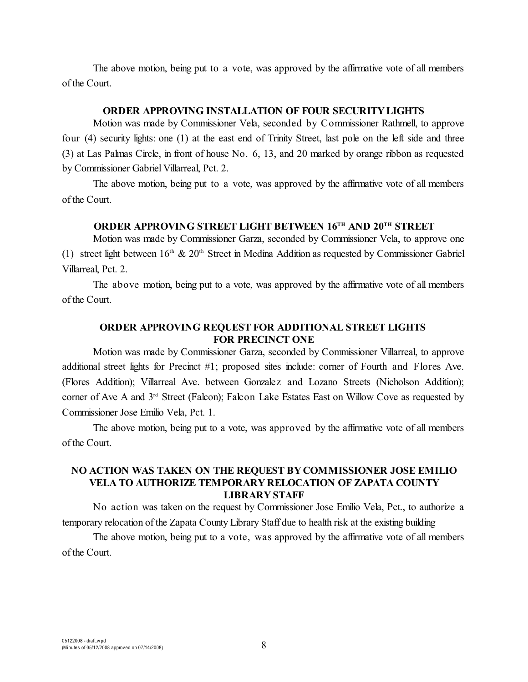The above motion, being put to a vote, was approved by the affirmative vote of all members of the Court.

# **ORDER APPROVING INSTALLATION OF FOUR SECURITY LIGHTS**

Motion was made by Commissioner Vela, seconded by Commissioner Rathmell, to approve four (4) security lights: one (1) at the east end of Trinity Street, last pole on the left side and three (3) at Las Palmas Circle, in front of house No. 6, 13, and 20 marked by orange ribbon as requested by Commissioner Gabriel Villarreal, Pct. 2.

The above motion, being put to a vote, was approved by the affirmative vote of all members of the Court.

### **ORDER APPROVING STREET LIGHT BETWEEN 16TH AND 20TH STREET**

Motion was made by Commissioner Garza, seconded by Commissioner Vela, to approve one (1) street light between  $16<sup>th</sup>$  &  $20<sup>th</sup>$  Street in Medina Addition as requested by Commissioner Gabriel Villarreal, Pct. 2.

The above motion, being put to a vote, was approved by the affirmative vote of all members of the Court.

## **ORDER APPROVING REQUEST FOR ADDITIONAL STREET LIGHTS FOR PRECINCT ONE**

Motion was made by Commissioner Garza, seconded by Commissioner Villarreal, to approve additional street lights for Precinct #1; proposed sites include: corner of Fourth and Flores Ave. (Flores Addition); Villarreal Ave. between Gonzalez and Lozano Streets (Nicholson Addition); corner of Ave A and 3<sup>rd</sup> Street (Falcon); Falcon Lake Estates East on Willow Cove as requested by Commissioner Jose Emilio Vela, Pct. 1.

The above motion, being put to a vote, was approved by the affirmative vote of all members of the Court.

#### **NO ACTION WAS TAKEN ON THE REQUEST BY COMMISSIONER JOSE EMILIO VELA TO AUTHORIZE TEMPORARY RELOCATION OF ZAPATA COUNTY LIBRARY STAFF**

No action was taken on the request by Commissioner Jose Emilio Vela, Pct., to authorize a temporary relocation of the Zapata County Library Staff due to health risk at the existing building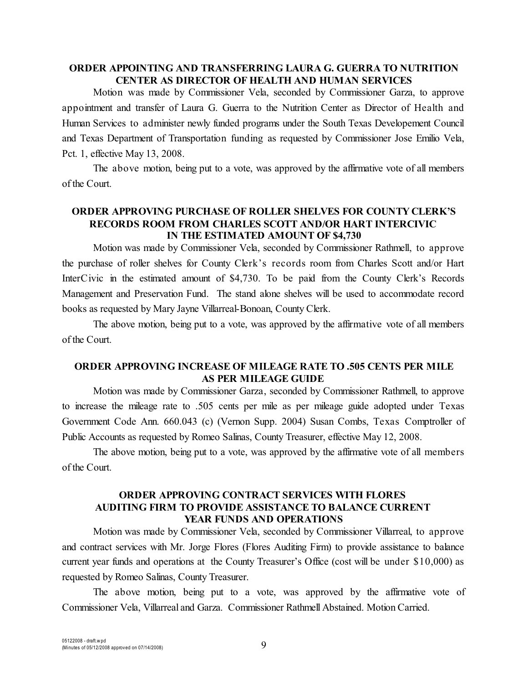### **ORDER APPOINTING AND TRANSFERRING LAURA G. GUERRA TO NUTRITION CENTER AS DIRECTOR OF HEALTH AND HUMAN SERVICES**

Motion was made by Commissioner Vela, seconded by Commissioner Garza, to approve appointment and transfer of Laura G. Guerra to the Nutrition Center as Director of Health and Human Services to administer newly funded programs under the South Texas Developement Council and Texas Department of Transportation funding as requested by Commissioner Jose Emilio Vela, Pct. 1, effective May 13, 2008.

The above motion, being put to a vote, was approved by the affirmative vote of all members of the Court.

### **ORDER APPROVING PURCHASE OF ROLLER SHELVES FOR COUNTY CLERK'S RECORDS ROOM FROM CHARLES SCOTT AND/OR HART INTERCIVIC IN THE ESTIMATED AMOUNT OF \$4,730**

Motion was made by Commissioner Vela, seconded by Commissioner Rathmell, to approve the purchase of roller shelves for County Clerk's records room from Charles Scott and/or Hart InterCivic in the estimated amount of \$4,730. To be paid from the County Clerk's Records Management and Preservation Fund. The stand alone shelves will be used to accommodate record books as requested by Mary Jayne Villarreal-Bonoan, County Clerk.

The above motion, being put to a vote, was approved by the affirmative vote of all members of the Court.

### **ORDER APPROVING INCREASE OF MILEAGE RATE TO .505 CENTS PER MILE AS PER MILEAGE GUIDE**

Motion was made by Commissioner Garza, seconded by Commissioner Rathmell, to approve to increase the mileage rate to .505 cents per mile as per mileage guide adopted under Texas Government Code Ann. 660.043 (c) (Vernon Supp. 2004) Susan Combs, Texas Comptroller of Public Accounts as requested by Romeo Salinas, County Treasurer, effective May 12, 2008.

The above motion, being put to a vote, was approved by the affirmative vote of all members of the Court.

### **ORDER APPROVING CONTRACT SERVICES WITH FLORES AUDITING FIRM TO PROVIDE ASSISTANCE TO BALANCE CURRENT YEAR FUNDS AND OPERATIONS**

Motion was made by Commissioner Vela, seconded by Commissioner Villarreal, to approve and contract services with Mr. Jorge Flores (Flores Auditing Firm) to provide assistance to balance current year funds and operations at the County Treasurer's Office (cost will be under \$10,000) as requested by Romeo Salinas, County Treasurer.

The above motion, being put to a vote, was approved by the affirmative vote of Commissioner Vela, Villarreal and Garza. Commissioner Rathmell Abstained. Motion Carried.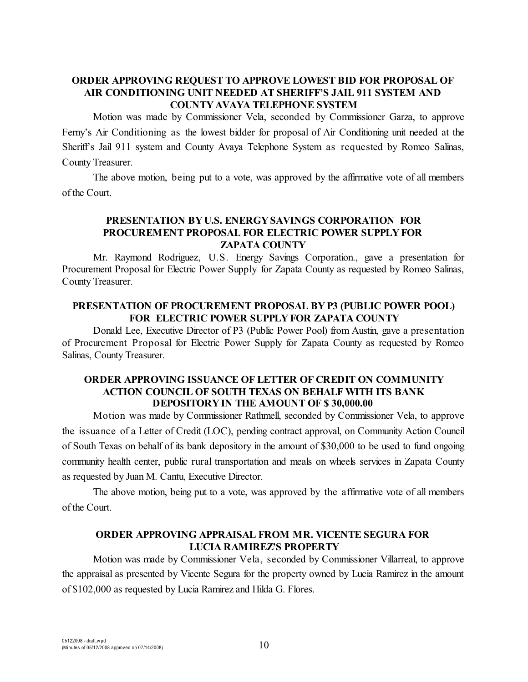# **ORDER APPROVING REQUEST TO APPROVE LOWEST BID FOR PROPOSAL OF AIR CONDITIONING UNIT NEEDED AT SHERIFF'S JAIL 911 SYSTEM AND COUNTY AVAYA TELEPHONE SYSTEM**

Motion was made by Commissioner Vela, seconded by Commissioner Garza, to approve Ferny's Air Conditioning as the lowest bidder for proposal of Air Conditioning unit needed at the Sheriff's Jail 911 system and County Avaya Telephone System as requested by Romeo Salinas, County Treasurer.

The above motion, being put to a vote, was approved by the affirmative vote of all members of the Court.

# **PRESENTATION BY U.S. ENERGY SAVINGS CORPORATION FOR PROCUREMENT PROPOSAL FOR ELECTRIC POWER SUPPLY FOR ZAPATA COUNTY**

Mr. Raymond Rodriguez, U.S. Energy Savings Corporation., gave a presentation for Procurement Proposal for Electric Power Supply for Zapata County as requested by Romeo Salinas, County Treasurer.

### **PRESENTATION OF PROCUREMENT PROPOSAL BY P3 (PUBLIC POWER POOL) FOR ELECTRIC POWER SUPPLY FOR ZAPATA COUNTY**

Donald Lee, Executive Director of P3 (Public Power Pool) from Austin, gave a presentation of Procurement Proposal for Electric Power Supply for Zapata County as requested by Romeo Salinas, County Treasurer.

## **ORDER APPROVING ISSUANCE OF LETTER OF CREDIT ON COMMUNITY ACTION COUNCIL OF SOUTH TEXAS ON BEHALF WITH ITS BANK DEPOSITORY IN THE AMOUNT OF \$ 30,000.00**

Motion was made by Commissioner Rathmell, seconded by Commissioner Vela, to approve the issuance of a Letter of Credit (LOC), pending contract approval, on Community Action Council of South Texas on behalf of its bank depository in the amount of \$30,000 to be used to fund ongoing community health center, public rural transportation and meals on wheels services in Zapata County as requested by Juan M. Cantu, Executive Director.

The above motion, being put to a vote, was approved by the affirmative vote of all members of the Court.

# **ORDER APPROVING APPRAISAL FROM MR. VICENTE SEGURA FOR LUCIA RAMIREZ'S PROPERTY**

Motion was made by Commissioner Vela, seconded by Commissioner Villarreal, to approve the appraisal as presented by Vicente Segura for the property owned by Lucia Ramirez in the amount of \$102,000 as requested by Lucia Ramirez and Hilda G. Flores.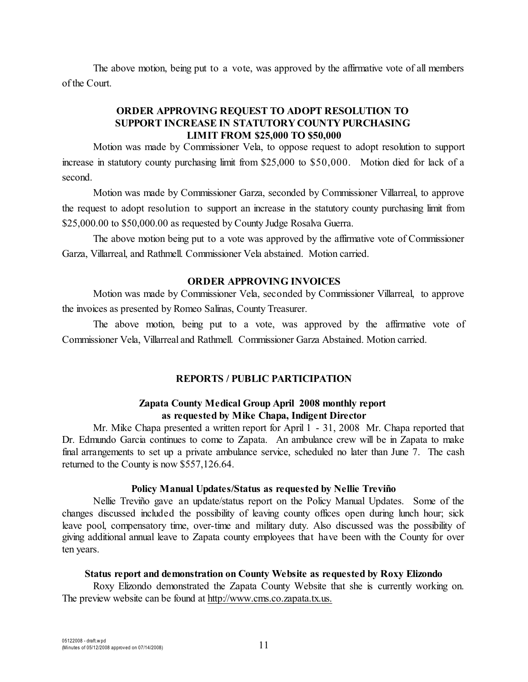The above motion, being put to a vote, was approved by the affirmative vote of all members of the Court.

# **ORDER APPROVING REQUEST TO ADOPT RESOLUTION TO SUPPORT INCREASE IN STATUTORY COUNTY PURCHASING LIMIT FROM \$25,000 TO \$50,000**

Motion was made by Commissioner Vela, to oppose request to adopt resolution to support increase in statutory county purchasing limit from \$25,000 to \$50,000. Motion died for lack of a second.

Motion was made by Commissioner Garza, seconded by Commissioner Villarreal, to approve the request to adopt resolution to support an increase in the statutory county purchasing limit from \$25,000.00 to \$50,000.00 as requested by County Judge Rosalva Guerra.

The above motion being put to a vote was approved by the affirmative vote of Commissioner Garza, Villarreal, and Rathmell. Commissioner Vela abstained. Motion carried.

#### **ORDER APPROVING INVOICES**

Motion was made by Commissioner Vela, seconded by Commissioner Villarreal, to approve the invoices as presented by Romeo Salinas, County Treasurer.

The above motion, being put to a vote, was approved by the affirmative vote of Commissioner Vela, Villarreal and Rathmell. Commissioner Garza Abstained. Motion carried.

#### **REPORTS / PUBLIC PARTICIPATION**

#### **Zapata County Medical Group April 2008 monthly report as requested by Mike Chapa, Indigent Director**

Mr. Mike Chapa presented a written report for April 1 - 31, 2008 Mr. Chapa reported that Dr. Edmundo Garcia continues to come to Zapata. An ambulance crew will be in Zapata to make final arrangements to set up a private ambulance service, scheduled no later than June 7. The cash returned to the County is now \$557,126.64.

#### **Policy Manual Updates/Status as requested by Nellie Treviño**

Nellie Treviño gave an update/status report on the Policy Manual Updates. Some of the changes discussed included the possibility of leaving county offices open during lunch hour; sick leave pool, compensatory time, over-time and military duty. Also discussed was the possibility of giving additional annual leave to Zapata county employees that have been with the County for over ten years.

#### **Status report and demonstration on County Website as requested by Roxy Elizondo**

Roxy Elizondo demonstrated the Zapata County Website that she is currently working on. The preview website can be found at http://www[.cms.co.zapata.tx.us.](http://www.cms.co.zapata.tx.us.)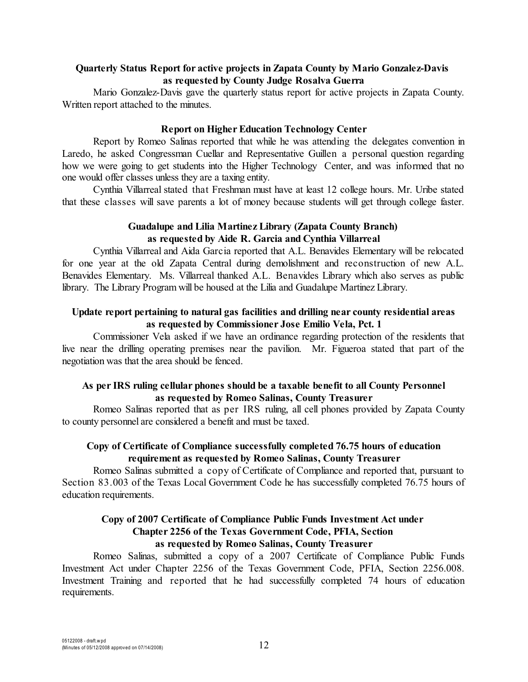## **Quarterly Status Report for active projects in Zapata County by Mario Gonzalez-Davis as requested by County Judge Rosalva Guerra**

Mario Gonzalez-Davis gave the quarterly status report for active projects in Zapata County. Written report attached to the minutes.

#### **Report on Higher Education Technology Center**

Report by Romeo Salinas reported that while he was attending the delegates convention in Laredo, he asked Congressman Cuellar and Representative Guillen a personal question regarding how we were going to get students into the Higher Technology Center, and was informed that no one would offer classes unless they are a taxing entity.

Cynthia Villarreal stated that Freshman must have at least 12 college hours. Mr. Uribe stated that these classes will save parents a lot of money because students will get through college faster.

#### **Guadalupe and Lilia Martinez Library (Zapata County Branch) as requested by Aide R. Garcia and Cynthia Villarreal**

Cynthia Villarreal and Aida Garcia reported that A.L. Benavides Elementary will be relocated for one year at the old Zapata Central during demolishment and reconstruction of new A.L. Benavides Elementary. Ms. Villarreal thanked A.L. Benavides Library which also serves as public library. The Library Program will be housed at the Lilia and Guadalupe Martinez Library.

### **Update report pertaining to natural gas facilities and drilling near county residential areas as requested by Commissioner Jose Emilio Vela, Pct. 1**

Commissioner Vela asked if we have an ordinance regarding protection of the residents that live near the drilling operating premises near the pavilion. Mr. Figueroa stated that part of the negotiation was that the area should be fenced.

### **As per IRS ruling cellular phones should be a taxable benefit to all County Personnel as requested by Romeo Salinas, County Treasurer**

Romeo Salinas reported that as per IRS ruling, all cell phones provided by Zapata County to county personnel are considered a benefit and must be taxed.

# **Copy of Certificate of Compliance successfully completed 76.75 hours of education requirement as requested by Romeo Salinas, County Treasurer**

Romeo Salinas submitted a copy of Certificate of Compliance and reported that, pursuant to Section 83.003 of the Texas Local Government Code he has successfully completed 76.75 hours of education requirements.

# **Copy of 2007 Certificate of Compliance Public Funds Investment Act under Chapter 2256 of the Texas Government Code, PFIA, Section as requested by Romeo Salinas, County Treasurer**

Romeo Salinas, submitted a copy of a 2007 Certificate of Compliance Public Funds Investment Act under Chapter 2256 of the Texas Government Code, PFIA, Section 2256.008. Investment Training and reported that he had successfully completed 74 hours of education requirements.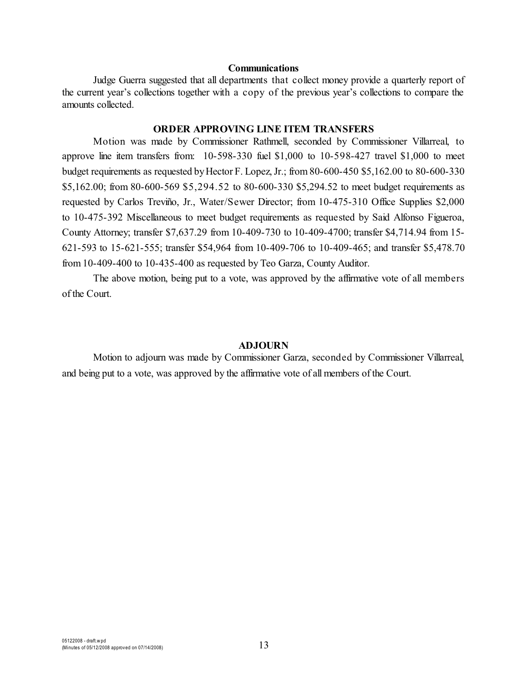#### **Communications**

Judge Guerra suggested that all departments that collect money provide a quarterly report of the current year's collections together with a copy of the previous year's collections to compare the amounts collected.

# **ORDER APPROVING LINE ITEM TRANSFERS**

Motion was made by Commissioner Rathmell, seconded by Commissioner Villarreal, to approve line item transfers from: 10-598-330 fuel \$1,000 to 10-598-427 travel \$1,000 to meet budget requirements as requested byHector F. Lopez, Jr.; from 80-600-450 \$5,162.00 to 80-600-330 \$5,162.00; from 80-600-569 \$5,294.52 to 80-600-330 \$5,294.52 to meet budget requirements as requested by Carlos Treviño, Jr., Water/Sewer Director; from 10-475-310 Office Supplies \$2,000 to 10-475-392 Miscellaneous to meet budget requirements as requested by Said Alfonso Figueroa, County Attorney; transfer \$7,637.29 from 10-409-730 to 10-409-4700; transfer \$4,714.94 from 15- 621-593 to 15-621-555; transfer \$54,964 from 10-409-706 to 10-409-465; and transfer \$5,478.70 from 10-409-400 to 10-435-400 as requested by Teo Garza, County Auditor.

The above motion, being put to a vote, was approved by the affirmative vote of all members of the Court.

#### **ADJOURN**

Motion to adjourn was made by Commissioner Garza, seconded by Commissioner Villarreal, and being put to a vote, was approved by the affirmative vote of all members of the Court.